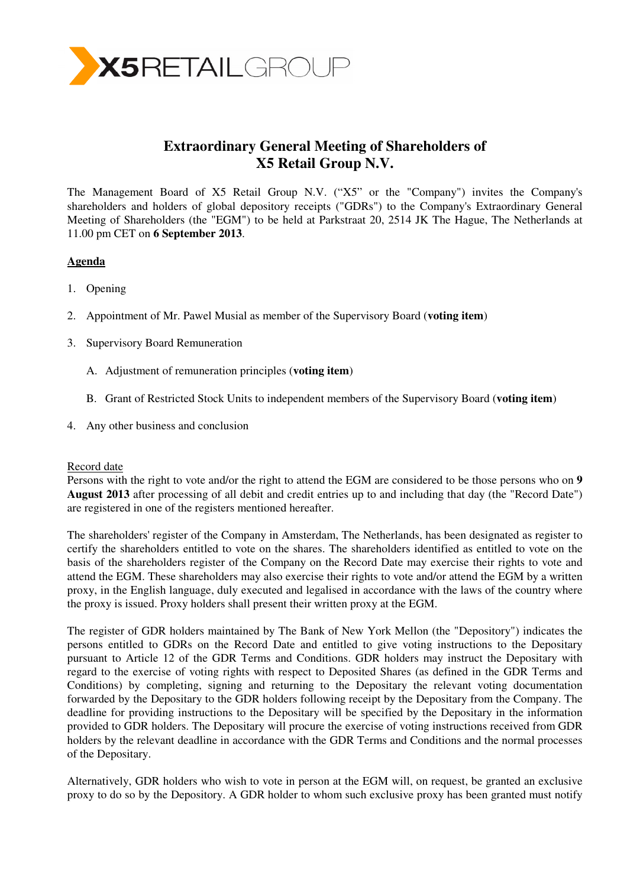

# **Extraordinary General Meeting of Shareholders of X5 Retail Group N.V.**

The Management Board of X5 Retail Group N.V. ("X5" or the "Company") invites the Company's shareholders and holders of global depository receipts ("GDRs") to the Company's Extraordinary General Meeting of Shareholders (the "EGM") to be held at Parkstraat 20, 2514 JK The Hague, The Netherlands at 11.00 pm CET on **6 September 2013**.

## **Agenda**

- 1. Opening
- 2. Appointment of Mr. Pawel Musial as member of the Supervisory Board (**voting item**)
- 3. Supervisory Board Remuneration
	- A. Adjustment of remuneration principles (**voting item**)
	- B. Grant of Restricted Stock Units to independent members of the Supervisory Board (**voting item**)
- 4. Any other business and conclusion

### Record date

Persons with the right to vote and/or the right to attend the EGM are considered to be those persons who on **9 August 2013** after processing of all debit and credit entries up to and including that day (the "Record Date") are registered in one of the registers mentioned hereafter.

The shareholders' register of the Company in Amsterdam, The Netherlands, has been designated as register to certify the shareholders entitled to vote on the shares. The shareholders identified as entitled to vote on the basis of the shareholders register of the Company on the Record Date may exercise their rights to vote and attend the EGM. These shareholders may also exercise their rights to vote and/or attend the EGM by a written proxy, in the English language, duly executed and legalised in accordance with the laws of the country where the proxy is issued. Proxy holders shall present their written proxy at the EGM.

The register of GDR holders maintained by The Bank of New York Mellon (the "Depository") indicates the persons entitled to GDRs on the Record Date and entitled to give voting instructions to the Depositary pursuant to Article 12 of the GDR Terms and Conditions. GDR holders may instruct the Depositary with regard to the exercise of voting rights with respect to Deposited Shares (as defined in the GDR Terms and Conditions) by completing, signing and returning to the Depositary the relevant voting documentation forwarded by the Depositary to the GDR holders following receipt by the Depositary from the Company. The deadline for providing instructions to the Depositary will be specified by the Depositary in the information provided to GDR holders. The Depositary will procure the exercise of voting instructions received from GDR holders by the relevant deadline in accordance with the GDR Terms and Conditions and the normal processes of the Depositary.

Alternatively, GDR holders who wish to vote in person at the EGM will, on request, be granted an exclusive proxy to do so by the Depository. A GDR holder to whom such exclusive proxy has been granted must notify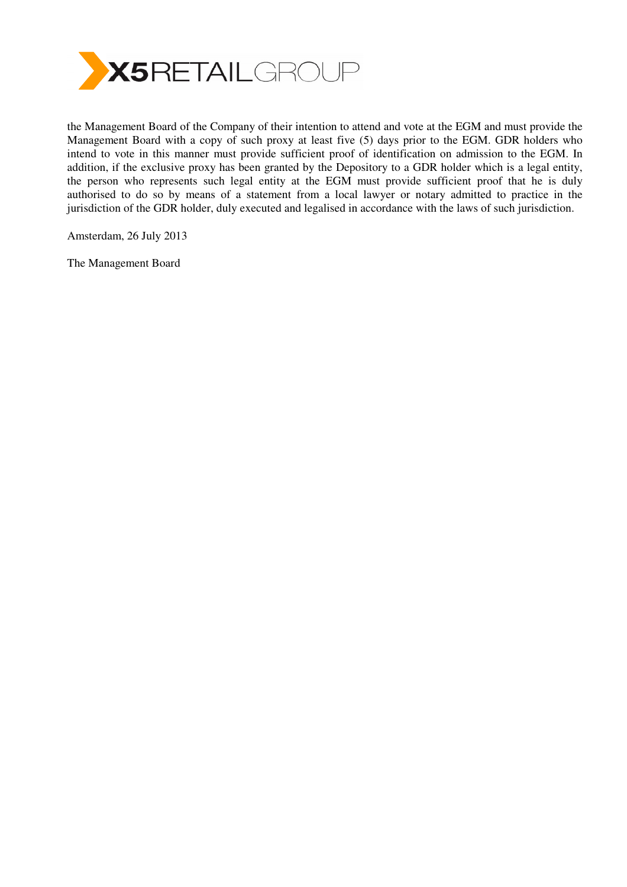

the Management Board of the Company of their intention to attend and vote at the EGM and must provide the Management Board with a copy of such proxy at least five (5) days prior to the EGM. GDR holders who intend to vote in this manner must provide sufficient proof of identification on admission to the EGM. In addition, if the exclusive proxy has been granted by the Depository to a GDR holder which is a legal entity, the person who represents such legal entity at the EGM must provide sufficient proof that he is duly authorised to do so by means of a statement from a local lawyer or notary admitted to practice in the jurisdiction of the GDR holder, duly executed and legalised in accordance with the laws of such jurisdiction.

Amsterdam, 26 July 2013

The Management Board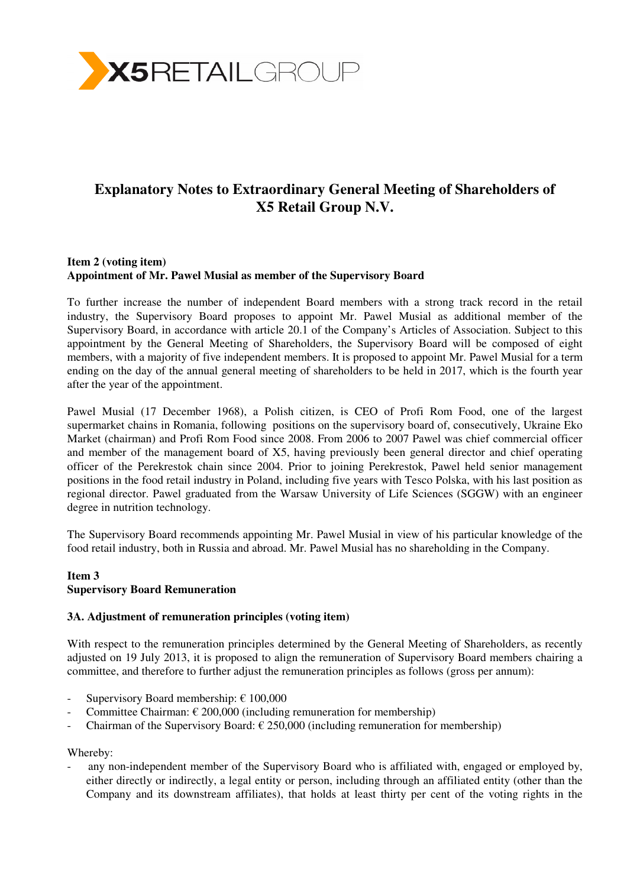

# **Explanatory Notes to Extraordinary General Meeting of Shareholders of X5 Retail Group N.V.**

## **Item 2 (voting item) Appointment of Mr. Pawel Musial as member of the Supervisory Board**

To further increase the number of independent Board members with a strong track record in the retail industry, the Supervisory Board proposes to appoint Mr. Pawel Musial as additional member of the Supervisory Board, in accordance with article 20.1 of the Company's Articles of Association. Subject to this appointment by the General Meeting of Shareholders, the Supervisory Board will be composed of eight members, with a majority of five independent members. It is proposed to appoint Mr. Pawel Musial for a term ending on the day of the annual general meeting of shareholders to be held in 2017, which is the fourth year after the year of the appointment.

Pawel Musial (17 December 1968), a Polish citizen, is CEO of Profi Rom Food, one of the largest supermarket chains in Romania, following positions on the supervisory board of, consecutively, Ukraine Eko Market (chairman) and Profi Rom Food since 2008. From 2006 to 2007 Pawel was chief commercial officer and member of the management board of X5, having previously been general director and chief operating officer of the Perekrestok chain since 2004. Prior to joining Perekrestok, Pawel held senior management positions in the food retail industry in Poland, including five years with Tesco Polska, with his last position as regional director. Pawel graduated from the Warsaw University of Life Sciences (SGGW) with an engineer degree in nutrition technology.

The Supervisory Board recommends appointing Mr. Pawel Musial in view of his particular knowledge of the food retail industry, both in Russia and abroad. Mr. Pawel Musial has no shareholding in the Company.

## **Item 3 Supervisory Board Remuneration**

### **3A. Adjustment of remuneration principles (voting item)**

With respect to the remuneration principles determined by the General Meeting of Shareholders, as recently adjusted on 19 July 2013, it is proposed to align the remuneration of Supervisory Board members chairing a committee, and therefore to further adjust the remuneration principles as follows (gross per annum):

- Supervisory Board membership:  $\epsilon$  100,000
- Committee Chairman:  $\epsilon$  200,000 (including remuneration for membership)
- Chairman of the Supervisory Board:  $\epsilon$  250,000 (including remuneration for membership)

Whereby:

any non-independent member of the Supervisory Board who is affiliated with, engaged or employed by, either directly or indirectly, a legal entity or person, including through an affiliated entity (other than the Company and its downstream affiliates), that holds at least thirty per cent of the voting rights in the